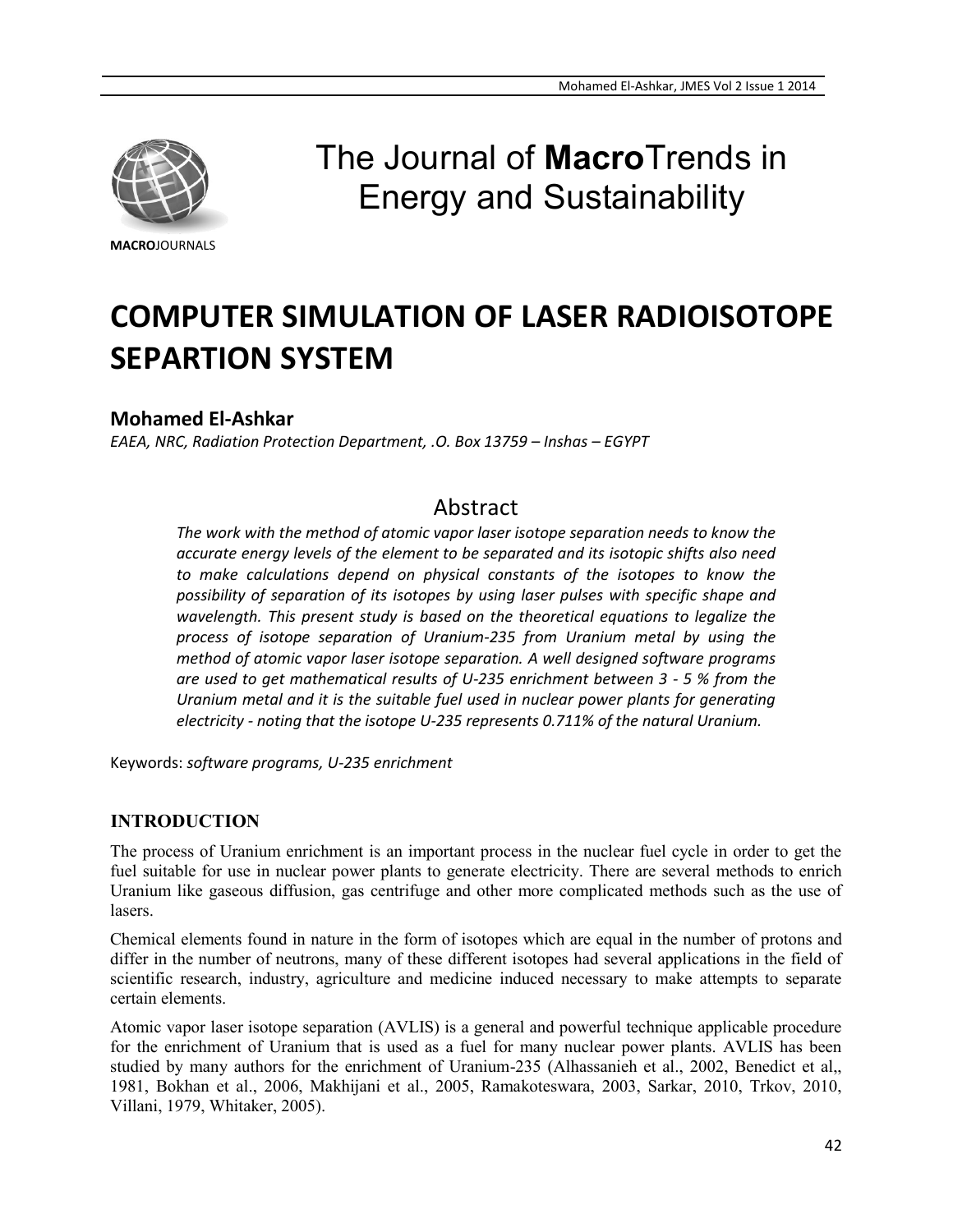

# The Journal of **Macro**Trends in Energy and Sustainability

# **COMPUTER SIMULATION OF LASER RADIOISOTOPE SEPARTION SYSTEM**

# **Mohamed El-Ashkar**

*EAEA, NRC, Radiation Protection Department, .O. Box 13759 – Inshas – EGYPT*

# Abstract

*The work with the method of atomic vapor laser isotope separation needs to know the accurate energy levels of the element to be separated and its isotopic shifts also need to make calculations depend on physical constants of the isotopes to know the possibility of separation of its isotopes by using laser pulses with specific shape and wavelength. This present study is based on the theoretical equations to legalize the process of isotope separation of Uranium-235 from Uranium metal by using the method of atomic vapor laser isotope separation. A well designed software programs are used to get mathematical results of U-235 enrichment between 3 - 5 % from the Uranium metal and it is the suitable fuel used in nuclear power plants for generating electricity - noting that the isotope U-235 represents 0.711% of the natural Uranium.*

Keywords: *software programs, U-235 enrichment*

## **INTRODUCTION**

The process of Uranium enrichment is an important process in the nuclear fuel cycle in order to get the fuel suitable for use in nuclear power plants to generate electricity. There are several methods to enrich Uranium like gaseous diffusion, gas centrifuge and other more complicated methods such as the use of lasers.

Chemical elements found in nature in the form of isotopes which are equal in the number of protons and differ in the number of neutrons, many of these different isotopes had several applications in the field of scientific research, industry, agriculture and medicine induced necessary to make attempts to separate certain elements.

Atomic vapor laser isotope separation (AVLIS) is a general and powerful technique applicable procedure for the enrichment of Uranium that is used as a fuel for many nuclear power plants. AVLIS has been studied by many authors for the enrichment of Uranium-235 (Alhassanieh et al., 2002, Benedict et al,, 1981, Bokhan et al., 2006, Makhijani et al., 2005, Ramakoteswara, 2003, Sarkar, 2010, Trkov, 2010, Villani, 1979, Whitaker, 2005).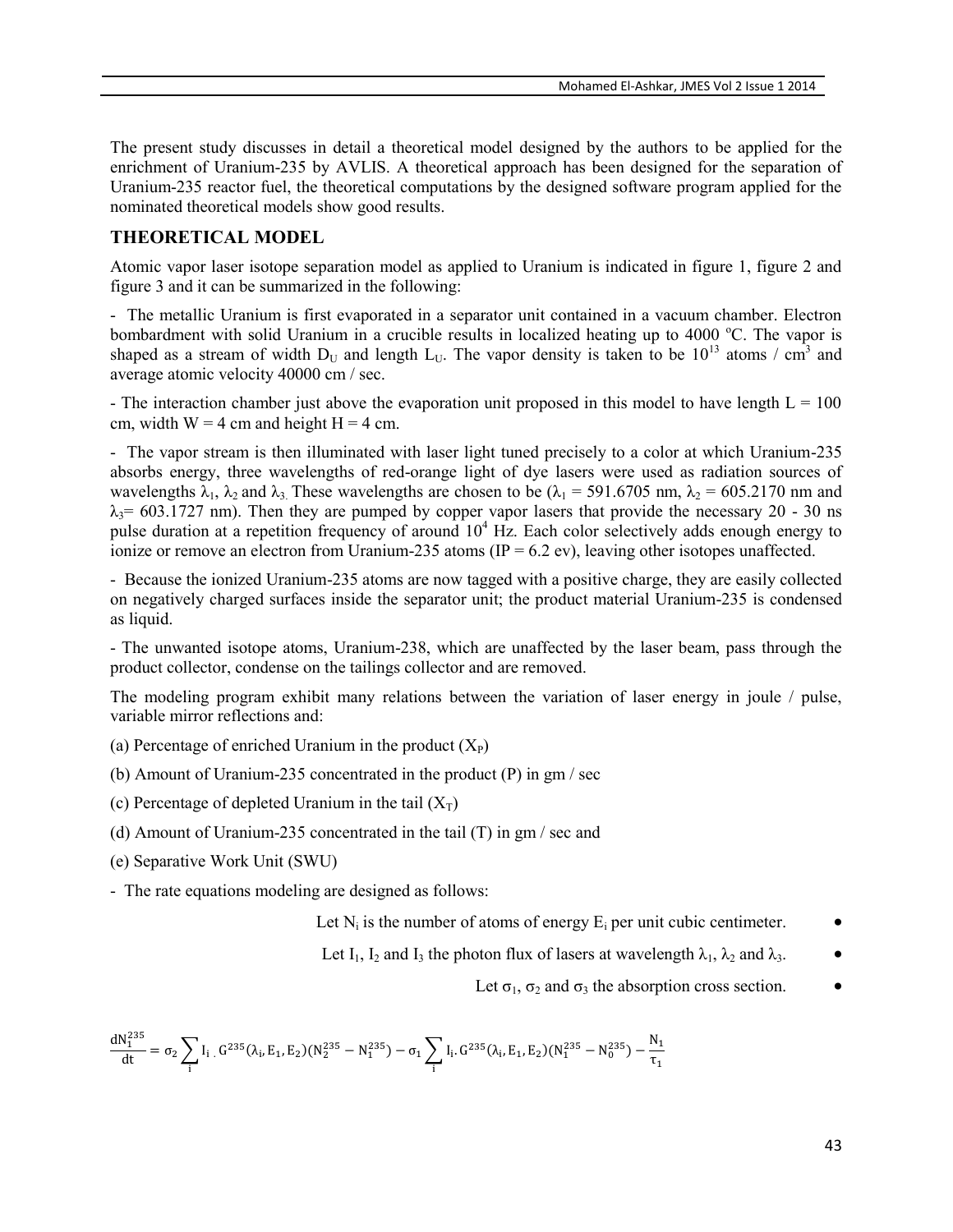The present study discusses in detail a theoretical model designed by the authors to be applied for the enrichment of Uranium-235 by AVLIS. A theoretical approach has been designed for the separation of Uranium-235 reactor fuel, the theoretical computations by the designed software program applied for the nominated theoretical models show good results.

#### **THEORETICAL MODEL**

Atomic vapor laser isotope separation model as applied to Uranium is indicated in figure 1, figure 2 and figure 3 and it can be summarized in the following:

- The metallic Uranium is first evaporated in a separator unit contained in a vacuum chamber. Electron bombardment with solid Uranium in a crucible results in localized heating up to 4000 °C. The vapor is shaped as a stream of width  $D_U$  and length  $L_U$ . The vapor density is taken to be 10<sup>13</sup> atoms / cm<sup>3</sup> and average atomic velocity 40000 cm / sec.

- The interaction chamber just above the evaporation unit proposed in this model to have length  $L = 100$ cm, width  $W = 4$  cm and height  $H = 4$  cm.

- The vapor stream is then illuminated with laser light tuned precisely to a color at which Uranium-235 absorbs energy, three wavelengths of red-orange light of dye lasers were used as radiation sources of wavelengths  $\lambda_1$ ,  $\lambda_2$  and  $\lambda_3$ . These wavelengths are chosen to be ( $\lambda_1$  = 591.6705 nm,  $\lambda_2$  = 605.2170 nm and  $\lambda_3$ = 603.1727 nm). Then they are pumped by copper vapor lasers that provide the necessary 20 - 30 ns pulse duration at a repetition frequency of around  $10<sup>4</sup>$  Hz. Each color selectively adds enough energy to ionize or remove an electron from Uranium-235 atoms (IP =  $6.2$  ev), leaving other isotopes unaffected.

- Because the ionized Uranium-235 atoms are now tagged with a positive charge, they are easily collected on negatively charged surfaces inside the separator unit; the product material Uranium-235 is condensed as liquid.

- The unwanted isotope atoms, Uranium-238, which are unaffected by the laser beam, pass through the product collector, condense on the tailings collector and are removed.

The modeling program exhibit many relations between the variation of laser energy in joule / pulse, variable mirror reflections and:

- (a) Percentage of enriched Uranium in the product  $(X_P)$
- (b) Amount of Uranium-235 concentrated in the product (P) in gm / sec
- (c) Percentage of depleted Uranium in the tail  $(X_T)$
- (d) Amount of Uranium-235 concentrated in the tail (T) in gm / sec and
- (e) Separative Work Unit (SWU)

- The rate equations modeling are designed as follows:

Let  $N_i$  is the number of atoms of energy  $E_i$  per unit cubic centimeter.  $\bullet$ 

Let I<sub>1</sub>, I<sub>2</sub> and I<sub>3</sub> the photon flux of lasers at wavelength  $\lambda_1$ ,  $\lambda_2$  and  $\lambda_3$ .

#### Let  $\sigma_1$ ,  $\sigma_2$  and  $\sigma_3$  the absorption cross section.  $\bullet$

$$
\frac{dN_1^{235}}{dt}=\sigma_2\sum_i I_i\;\; \text{,}\; G^{235}(\lambda_i,E_1,E_2)(N_2^{235}-N_1^{235})-\sigma_1\sum_i I_i\;\; G^{235}(\lambda_i,E_1,E_2)(N_1^{235}-N_0^{235})-\frac{N_1}{\tau_1}
$$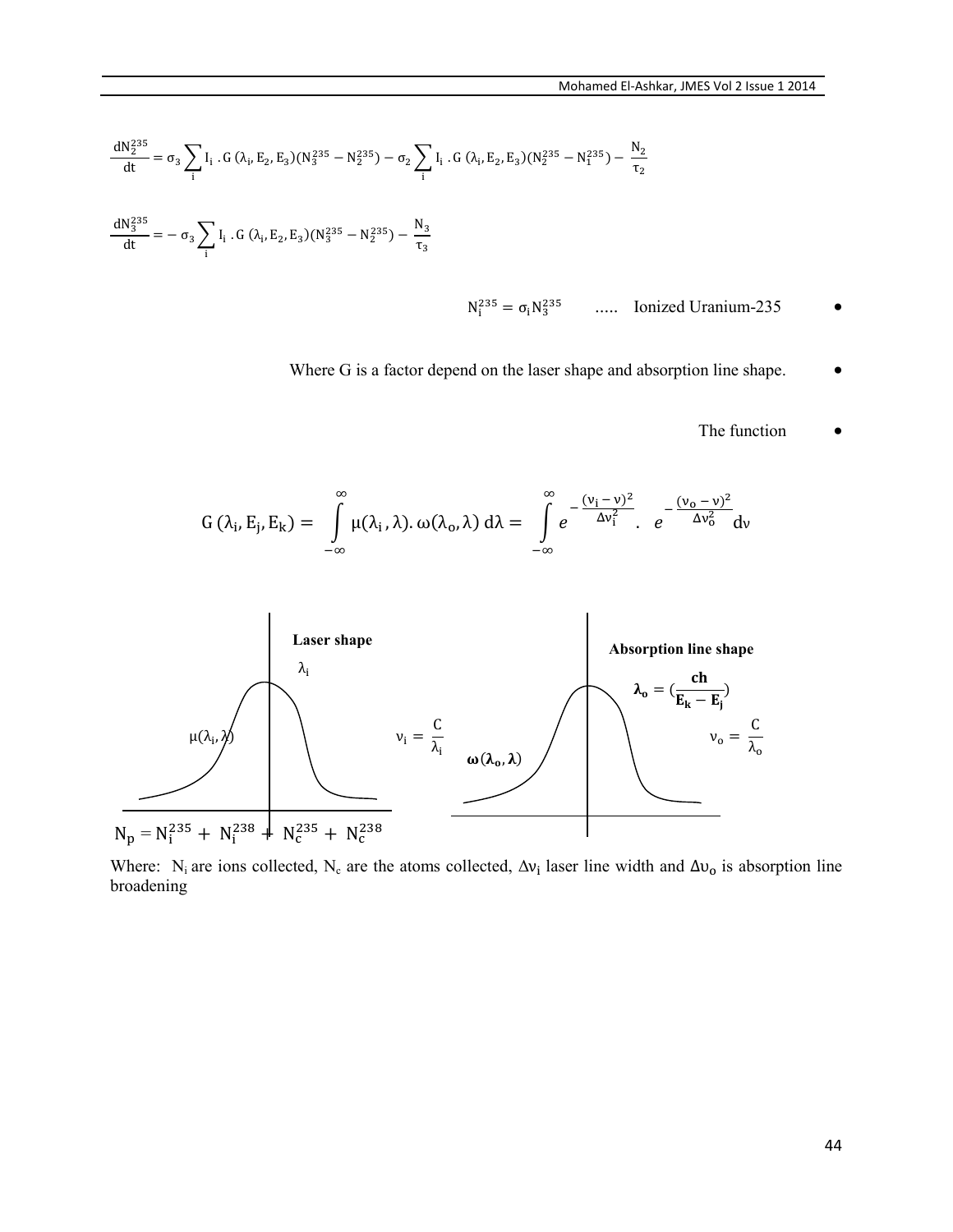$$
\frac{dN_2^{235}}{dt} = \sigma_3 \sum_i I_i . G (\lambda_i, E_2, E_3) (N_3^{235} - N_2^{235}) - \sigma_2 \sum_i I_i . G (\lambda_i, E_2, E_3) (N_2^{235} - N_1^{235}) - \frac{N_2}{\tau_2}
$$
  

$$
\frac{dN_3^{235}}{dt} = -\sigma_3 \sum_i I_i . G (\lambda_i, E_2, E_3) (N_3^{235} - N_2^{235}) - \frac{N_3}{\tau_3}
$$

- $N_i^{235} = \sigma_i N_3^2$ ..... Ionized Uranium-235
- Where G is a factor depend on the laser shape and absorption line shape.
	- The function  $\qquad \qquad \bullet$

$$
G(\lambda_i, E_j, E_k) = \int_{-\infty}^{\infty} \mu(\lambda_i, \lambda) . \omega(\lambda_o, \lambda) d\lambda = \int_{-\infty}^{\infty} e^{-\frac{(\nu_i - \nu)^2}{\Delta \nu_i^2}} . e^{-\frac{(\nu_o - \nu)^2}{\Delta \nu_o^2}} dv
$$



Where: N<sub>i</sub> are ions collected, N<sub>c</sub> are the atoms collected,  $\Delta v_i$  laser line width and  $\Delta v_o$  is absorption line broadening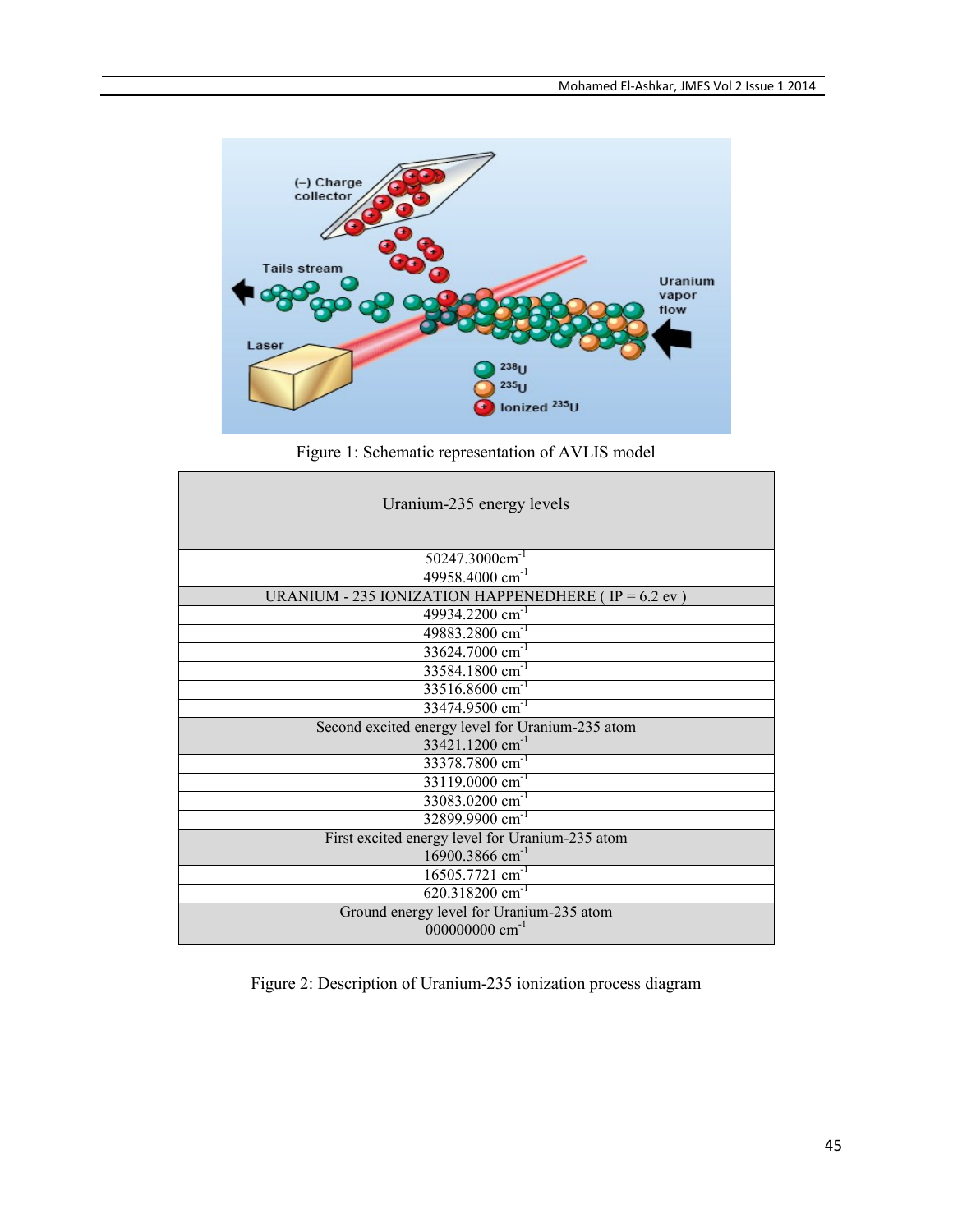

Figure 1: Schematic representation of AVLIS model

| Uranium-235 energy levels                             |  |  |  |  |  |
|-------------------------------------------------------|--|--|--|--|--|
| 50247.3000cm <sup>-1</sup>                            |  |  |  |  |  |
| 49958.4000 cm <sup>-1</sup>                           |  |  |  |  |  |
| URANIUM - 235 IONIZATION HAPPENEDHERE (IP = $6.2$ ev) |  |  |  |  |  |
| 49934.2200 cm <sup>-1</sup>                           |  |  |  |  |  |
| 49883.2800 cm <sup>-1</sup>                           |  |  |  |  |  |
| 33624.7000 cm <sup>-1</sup>                           |  |  |  |  |  |
| 33584.1800 cm <sup>-1</sup>                           |  |  |  |  |  |
| $33516.8600$ cm <sup>-1</sup>                         |  |  |  |  |  |
| 33474.9500 cm <sup>-1</sup>                           |  |  |  |  |  |
| Second excited energy level for Uranium-235 atom      |  |  |  |  |  |
| 33421.1200 cm <sup>-1</sup>                           |  |  |  |  |  |
| 33378.7800 cm <sup>-1</sup>                           |  |  |  |  |  |
| 33119.0000 cm <sup>-1</sup>                           |  |  |  |  |  |
| 33083.0200 cm <sup>-1</sup>                           |  |  |  |  |  |
| 32899.9900 cm <sup>-1</sup>                           |  |  |  |  |  |
| First excited energy level for Uranium-235 atom       |  |  |  |  |  |
| 16900.3866 cm <sup>-1</sup>                           |  |  |  |  |  |
| $16505.7721$ cm <sup>-1</sup>                         |  |  |  |  |  |
| $620.318200$ cm <sup>-1</sup>                         |  |  |  |  |  |
| Ground energy level for Uranium-235 atom              |  |  |  |  |  |
| 000000000 cm <sup>-1</sup>                            |  |  |  |  |  |

Figure 2: Description of Uranium-235 ionization process diagram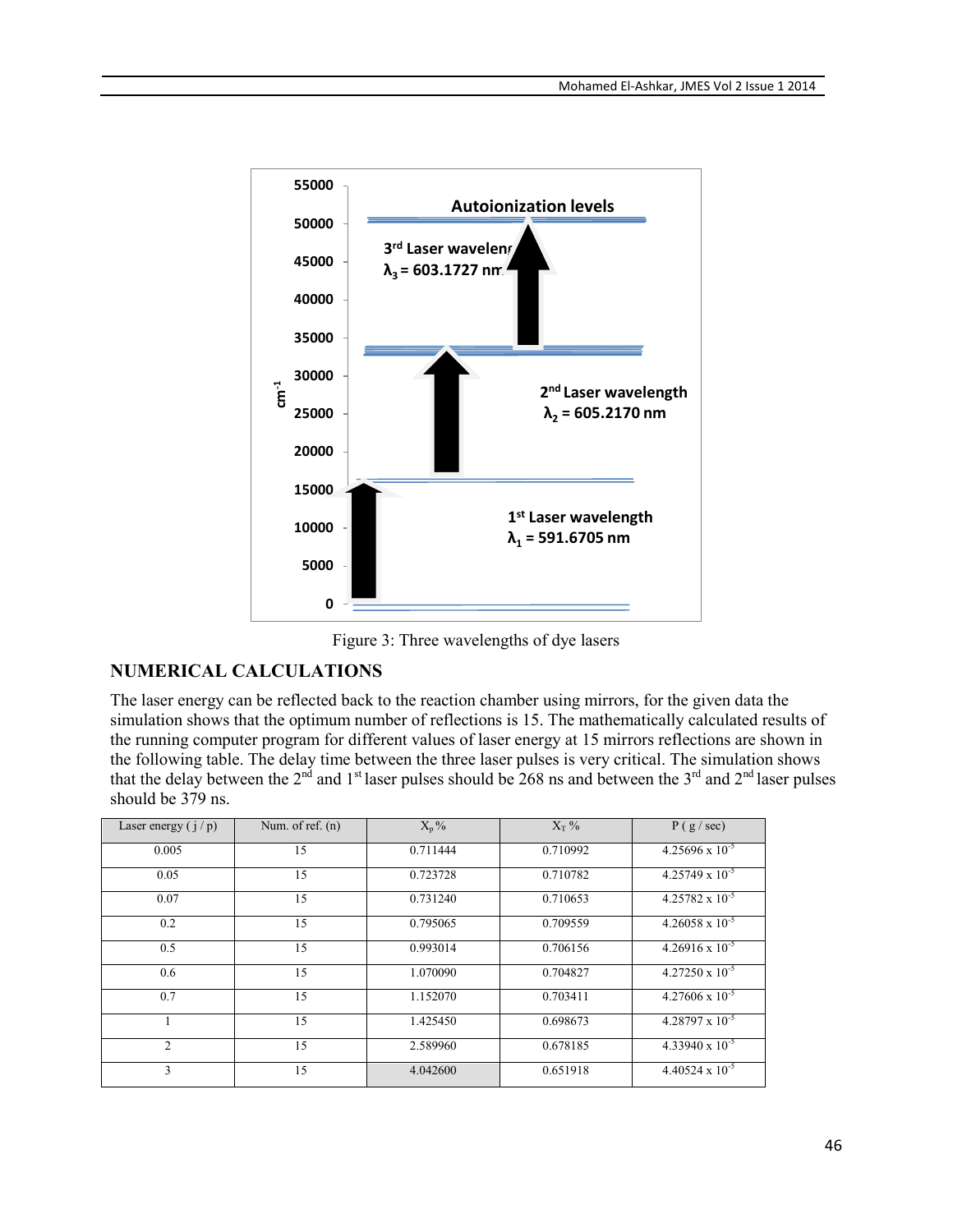

Figure 3: Three wavelengths of dye lasers

### **NUMERICAL CALCULATIONS**

The laser energy can be reflected back to the reaction chamber using mirrors, for the given data the simulation shows that the optimum number of reflections is 15. The mathematically calculated results of the running computer program for different values of laser energy at 15 mirrors reflections are shown in the following table. The delay time between the three laser pulses is very critical. The simulation shows that the delay between the  $2^{nd}$  and  $1^{st}$  laser pulses should be 268 ns and between the  $3^{rd}$  and  $2^{nd}$  laser pulses should be 379 ns.

| Laser energy $(i/p)$        | Num. of ref. $(n)$ | $X_p\%$  | $X_T$ %  | P(g / sec)               |
|-----------------------------|--------------------|----------|----------|--------------------------|
| 0.005                       | 15                 | 0.711444 | 0.710992 | $4.25696 \times 10^{-5}$ |
| 0.05                        | 15                 | 0.723728 | 0.710782 | $4.25749 \times 10^{-5}$ |
| 0.07                        | 15                 | 0.731240 | 0.710653 | $4.25782 \times 10^{-5}$ |
| 0.2                         | 15                 | 0.795065 | 0.709559 | $4.26058 \times 10^{-5}$ |
| 0.5                         | 15                 | 0.993014 | 0.706156 | $4.26916 \times 10^{-5}$ |
| 0.6                         | 15                 | 1.070090 | 0.704827 | $4.27250 \times 10^{-5}$ |
| 0.7                         | 15                 | 1.152070 | 0.703411 | $4.27606 \times 10^{-5}$ |
|                             | 15                 | 1.425450 | 0.698673 | $4.28797 \times 10^{-5}$ |
| $\mathcal{D}_{\mathcal{L}}$ | 15                 | 2.589960 | 0.678185 | $4.33940 \times 10^{-5}$ |
| 3                           | 15                 | 4.042600 | 0.651918 | $4.40524 \times 10^{-5}$ |